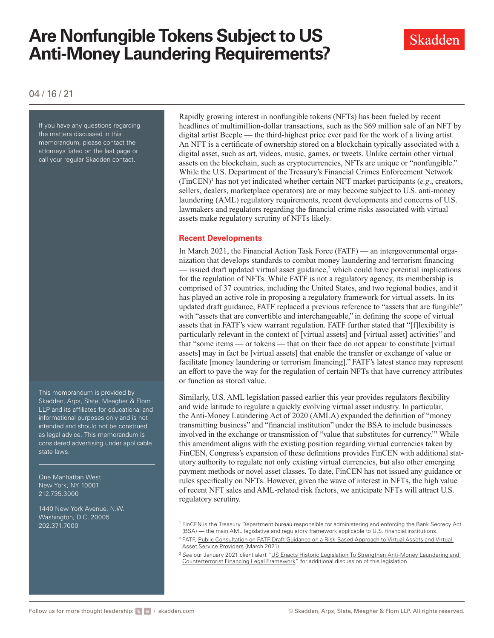# **Are Nonfungible Tokens Subject to US Anti-Money Laundering Requirements?**



04 / 16 / 21

If you have any questions regarding the matters discussed in this memorandum, please contact the attorneys listed on the last page or call your regular Skadden contact.

This memorandum is provided by Skadden, Arps, Slate, Meagher & Flom LLP and its affiliates for educational and informational purposes only and is not intended and should not be construed as legal advice. This memorandum is considered advertising under applicable state laws.

One Manhattan West New York, NY 10001 212.735.3000

1440 New York Avenue, N.W. Washington, D.C. 20005 202.371.7000

Rapidly growing interest in nonfungible tokens (NFTs) has been fueled by recent headlines of multimillion-dollar transactions, such as the \$69 million sale of an NFT by digital artist Beeple — the third-highest price ever paid for the work of a living artist. An NFT is a certificate of ownership stored on a blockchain typically associated with a digital asset, such as art, videos, music, games, or tweets. Unlike certain other virtual assets on the blockchain, such as cryptocurrencies, NFTs are unique or "nonfungible." While the U.S. Department of the Treasury's Financial Crimes Enforcement Network (FinCEN)1 has not yet indicated whether certain NFT market participants (*e.g*., creators, sellers, dealers, marketplace operators) are or may become subject to U.S. anti-money laundering (AML) regulatory requirements, recent developments and concerns of U.S. lawmakers and regulators regarding the financial crime risks associated with virtual assets make regulatory scrutiny of NFTs likely.

#### **Recent Developments**

In March 2021, the Financial Action Task Force (FATF) — an intergovernmental organization that develops standards to combat money laundering and terrorism financing  $-$  issued draft updated virtual asset guidance,<sup>2</sup> which could have potential implications for the regulation of NFTs. While FATF is not a regulatory agency, its membership is comprised of 37 countries, including the United States, and two regional bodies, and it has played an active role in proposing a regulatory framework for virtual assets. In its updated draft guidance, FATF replaced a previous reference to "assets that are fungible" with "assets that are convertible and interchangeable," in defining the scope of virtual assets that in FATF's view warrant regulation. FATF further stated that "[f]lexibility is particularly relevant in the context of [virtual assets] and [virtual asset] activities" and that "some items — or tokens — that on their face do not appear to constitute [virtual assets] may in fact be [virtual assets] that enable the transfer or exchange of value or facilitate [money laundering or terrorism financing]." FATF's latest stance may represent an effort to pave the way for the regulation of certain NFTs that have currency attributes or function as stored value.

Similarly, U.S. AML legislation passed earlier this year provides regulators flexibility and wide latitude to regulate a quickly evolving virtual asset industry. In particular, the Anti-Money Laundering Act of 2020 (AMLA) expanded the definition of "money transmitting business" and "financial institution" under the BSA to include businesses involved in the exchange or transmission of "value that substitutes for currency."3 While this amendment aligns with the existing position regarding virtual currencies taken by FinCEN, Congress's expansion of these definitions provides FinCEN with additional statutory authority to regulate not only existing virtual currencies, but also other emerging payment methods or novel asset classes. To date, FinCEN has not issued any guidance or rules specifically on NFTs. However, given the wave of interest in NFTs, the high value of recent NFT sales and AML-related risk factors, we anticipate NFTs will attract U.S. regulatory scrutiny.

<sup>1</sup> FinCEN is the Treasury Department bureau responsible for administering and enforcing the Bank Secrecy Act (BSA) — the main AML legislative and regulatory framework applicable to U.S. financial institutions.

<sup>&</sup>lt;sup>2</sup> FATF, Public Consultation on FATF Draft Guidance on a Risk-Based Approach to Virtual Assets and Virtual **[Asset Service Providers](http://www.fatf-gafi.org/publications/fatfrecommendations/documents/public-consultation-guidance-vasp.html) (March 2021).** 

<sup>3</sup> *See* our January 2021 client alert ["US Enacts Historic Legislation To Strengthen Anti-Money Laundering and](https://www.skadden.com/insights/publications/2021/01/us-enacts-historic-legislation )  [Counterterrorist Financing Legal Framework](https://www.skadden.com/insights/publications/2021/01/us-enacts-historic-legislation )" for additional discussion of this legislation.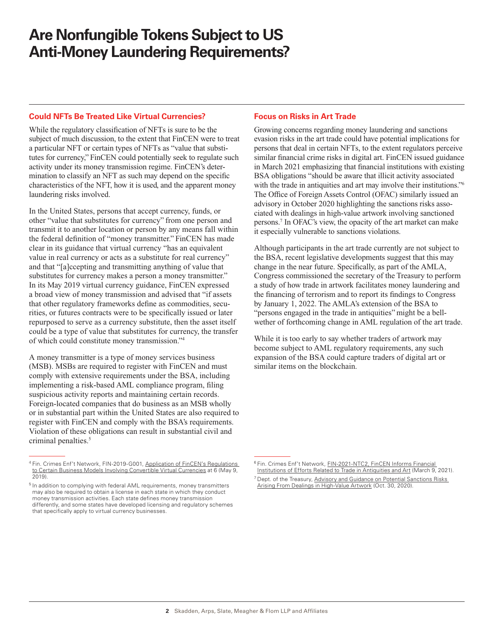### **Are Nonfungible Tokens Subject to US Anti-Money Laundering Requirements?**

#### **Could NFTs Be Treated Like Virtual Currencies?**

While the regulatory classification of NFTs is sure to be the subject of much discussion, to the extent that FinCEN were to treat a particular NFT or certain types of NFTs as "value that substitutes for currency," FinCEN could potentially seek to regulate such activity under its money transmission regime. FinCEN's determination to classify an NFT as such may depend on the specific characteristics of the NFT, how it is used, and the apparent money laundering risks involved.

In the United States, persons that accept currency, funds, or other "value that substitutes for currency" from one person and transmit it to another location or person by any means fall within the federal definition of "money transmitter." FinCEN has made clear in its guidance that virtual currency "has an equivalent value in real currency or acts as a substitute for real currency" and that "[a]ccepting and transmitting anything of value that substitutes for currency makes a person a money transmitter." In its May 2019 virtual currency guidance, FinCEN expressed a broad view of money transmission and advised that "if assets that other regulatory frameworks define as commodities, securities, or futures contracts were to be specifically issued or later repurposed to serve as a currency substitute, then the asset itself could be a type of value that substitutes for currency, the transfer of which could constitute money transmission."4

A money transmitter is a type of money services business (MSB). MSBs are required to register with FinCEN and must comply with extensive requirements under the BSA, including implementing a risk-based AML compliance program, filing suspicious activity reports and maintaining certain records. Foreign-located companies that do business as an MSB wholly or in substantial part within the United States are also required to register with FinCEN and comply with the BSA's requirements. Violation of these obligations can result in substantial civil and criminal penalties.<sup>5</sup>

#### **Focus on Risks in Art Trade**

Growing concerns regarding money laundering and sanctions evasion risks in the art trade could have potential implications for persons that deal in certain NFTs, to the extent regulators perceive similar financial crime risks in digital art. FinCEN issued guidance in March 2021 emphasizing that financial institutions with existing BSA obligations "should be aware that illicit activity associated with the trade in antiquities and art may involve their institutions."<sup>6</sup> The Office of Foreign Assets Control (OFAC) similarly issued an advisory in October 2020 highlighting the sanctions risks associated with dealings in high-value artwork involving sanctioned persons.7 In OFAC's view, the opacity of the art market can make it especially vulnerable to sanctions violations.

Although participants in the art trade currently are not subject to the BSA, recent legislative developments suggest that this may change in the near future. Specifically, as part of the AMLA, Congress commissioned the secretary of the Treasury to perform a study of how trade in artwork facilitates money laundering and the financing of terrorism and to report its findings to Congress by January 1, 2022. The AMLA's extension of the BSA to "persons engaged in the trade in antiquities" might be a bellwether of forthcoming change in AML regulation of the art trade.

While it is too early to say whether traders of artwork may become subject to AML regulatory requirements, any such expansion of the BSA could capture traders of digital art or similar items on the blockchain.

<sup>4</sup> Fin. Crimes Enf't Network, FIN-2019-G001, [Application of FinCEN's Regulations](http://www.skadden.com/-/media/files/publications/2021/04/are-nonfungible-tokens-subject/fn4_fincen-guidance-cvc-final-508.pdf)  [to Certain Business Mode](http://www.skadden.com/-/media/files/publications/2021/04/are-nonfungible-tokens-subject/fn4_fincen-guidance-cvc-final-508.pdf)ls Involving Convertible Virtual Currencies at 6 (May 9, 2019).

<sup>&</sup>lt;sup>5</sup> In addition to complying with federal AML requirements, money transmitters may also be required to obtain a license in each state in which they conduct money transmission activities. Each state defines money transmission differently, and some states have developed licensing and regulatory schemes that specifically apply to virtual currency businesses.

<sup>6</sup> Fin. Crimes Enf't Network, [FIN-2021-NTC2, FinCEN Informs Financial](http://www.skadden.com/-/media/files/publications/2021/04/are-nonfungible-tokens-subject/fn6_fincen-notice-on-antiquities-and-art_508c.pdf)  [Institutions of Efforts Related to Trade in Antiquities and Art](http://www.skadden.com/-/media/files/publications/2021/04/are-nonfungible-tokens-subject/fn6_fincen-notice-on-antiquities-and-art_508c.pdf) (March 9, 2021).

[Arising From Dealings in High-Value Artwork](http://www.skadden.com/-/media/files/publications/2021/04/are-nonfungible-tokens-subject/fn7_ofac_art_advisory_10302020.pdf) (Oct. 30, 2020). <sup>7</sup> Dept. of the Treasury, Advisory and Guidance on Potential Sanctions Risks